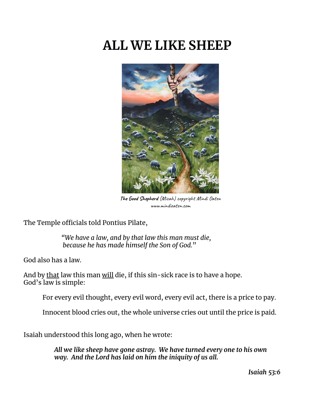# **ALL WE LIKE SHEEP**



**The Good Shepherd** (Micah) copyright Mindi Oaten www.mindioaten.com

The Temple officials told Pontius Pilate,

*"We have a law, and by that law this man must die, because he has made himself the Son of God.*"

God also has a law.

And by that law this man will die, if this sin-sick race is to have a hope. God's law is simple:

For every evil thought, every evil word, every evil act, there is a price to pay.

Innocent blood cries out, the whole universe cries out until the price is paid.

Isaiah understood this long ago, when he wrote:

*All we like sheep have gone astray. We have turned every one to his own way. And the Lord has laid on him the iniquity of us all.*

*Isaiah 53:6*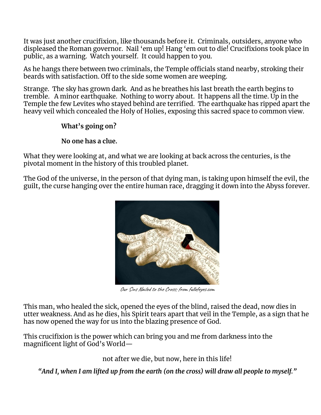It was just another crucifixion, like thousands before it. Criminals, outsiders, anyone who displeased the Roman governor. Nail 'em up! Hang 'em out to die! Crucifixions took place in public, as a warning. Watch yourself. It could happen to you.

As he hangs there between two criminals, the Temple officials stand nearby, stroking their beards with satisfaction. Off to the side some women are weeping.

Strange. The sky has grown dark. And as he breathes his last breath the earth begins to tremble. A minor earthquake. Nothing to worry about. It happens all the time. Up in the Temple the few Levites who stayed behind are terrified. The earthquake has ripped apart the heavy veil which concealed the Holy of Holies, exposing this sacred space to common view.

### **What's going on?**

### **No one has a clue.**

What they were looking at, and what we are looking at back across the centuries, is the pivotal moment in the history of this troubled planet.

The God of the universe, in the person of that dying man, is taking upon himself the evil, the guilt, the curse hanging over the entire human race, dragging it down into the Abyss forever.



Our Sins Nailed to the Cross; from fulofeyes.com

This man, who healed the sick, opened the eyes of the blind, raised the dead, now dies in utter weakness. And as he dies, his Spirit tears apart that veil in the Temple, as a sign that he has now opened the way for us into the blazing presence of God.

This crucifixion is the power which can bring you and me from darkness into the magnificent light of God's World—

not after we die, but now, here in this life!

*"And I, when I am lifted up from the earth (on the cross) will draw all people to myself."*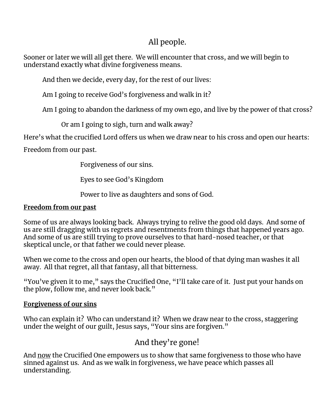## All people.

Sooner or later we will all get there. We will encounter that cross, and we will begin to understand exactly what divine forgiveness means.

And then we decide, every day, for the rest of our lives:

Am I going to receive God's forgiveness and walk in it?

Am I going to abandon the darkness of my own ego, and live by the power of that cross?

Or am I going to sigh, turn and walk away?

Here's what the crucified Lord offers us when we draw near to his cross and open our hearts:

Freedom from our past.

Forgiveness of our sins.

Eyes to see God's Kingdom

Power to live as daughters and sons of God.

### **Freedom from our past**

Some of us are always looking back. Always trying to relive the good old days. And some of us are still dragging with us regrets and resentments from things that happened years ago. And some of us are still trying to prove ourselves to that hard-nosed teacher, or that skeptical uncle, or that father we could never please.

When we come to the cross and open our hearts, the blood of that dying man washes it all away. All that regret, all that fantasy, all that bitterness.

"You've given it to me," says the Crucified One, "I'll take care of it. Just put your hands on the plow, follow me, and never look back."

### **Forgiveness of our sins**

Who can explain it? Who can understand it? When we draw near to the cross, staggering under the weight of our guilt, Jesus says, "Your sins are forgiven."

# And they're gone!

And now the Crucified One empowers us to show that same forgiveness to those who have sinned against us. And as we walk in forgiveness, we have peace which passes all understanding.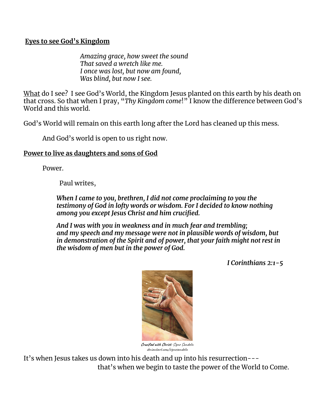### **Eyes to see God's Kingdom**

*Amazing grace, how sweet the sound That saved a wretch like me. I once was lost, but now am found, Was blind, but now I see.*

What do I see? I see God's World, the Kingdom Jesus planted on this earth by his death on that cross. So that when I pray, "*Thy Kingdom come*!" I know the difference between God's World and this world.

God's World will remain on this earth long after the Lord has cleaned up this mess.

And God's world is open to us right now.

### **Power to live as daughters and sons of God**

Power.

Paul writes,

*When I came to you, brethren, I did not come proclaiming to you the testimony of God in lofty words or wisdom. For I decided to know nothing among you except Jesus Christ and him crucified.*

*And I was with you in weakness and in much fear and trembling; and my speech and my message were not in plausible words of wisdom, but in demonstration of the Spirit and of power, that your faith might not rest in the wisdom of men but in the power of God.*

*I Corinthians 2:1-5*



[deviantart.com/signesandelin](https://www.deviantart.com/signesandelin)

It's when Jesus takes us down into his death and up into his resurrection-- that's when we begin to taste the power of the World to Come.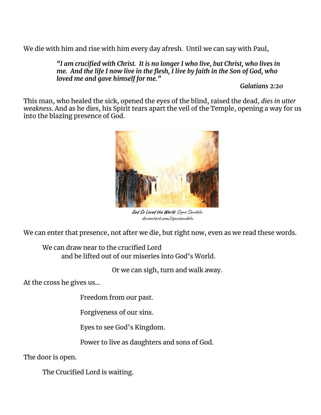We die with him and rise with him every day afresh. Until we can say with Paul,

*"I am crucified with Christ. It is no longer I who live, but Christ, who lives in me. And the life I now live in the flesh, I live by faith in the Son of God, who loved me and gave himself for me."*

*Galatians 2:20*

This man, who healed the sick, opened the eyes of the blind, raised the dead, *dies in utter weakness*. And as he dies, his Spirit tears apart the veil of the Temple, opening a way for us into the blazing presence of God.



**God So Loved the World:** Signe Sandelin [deviantart.com/signesandelin](https://www.deviantart.com/signesandelin)

We can enter that presence, not after we die, but right now, even as we read these words.

We can draw near to the crucified Lord and be lifted out of our miseries into God's World.

Or we can sigh, turn and walk away.

At the cross he gives us…

Freedom from our past.

Forgiveness of our sins.

Eyes to see God's Kingdom.

Power to live as daughters and sons of God.

The door is open.

The Crucified Lord is waiting.